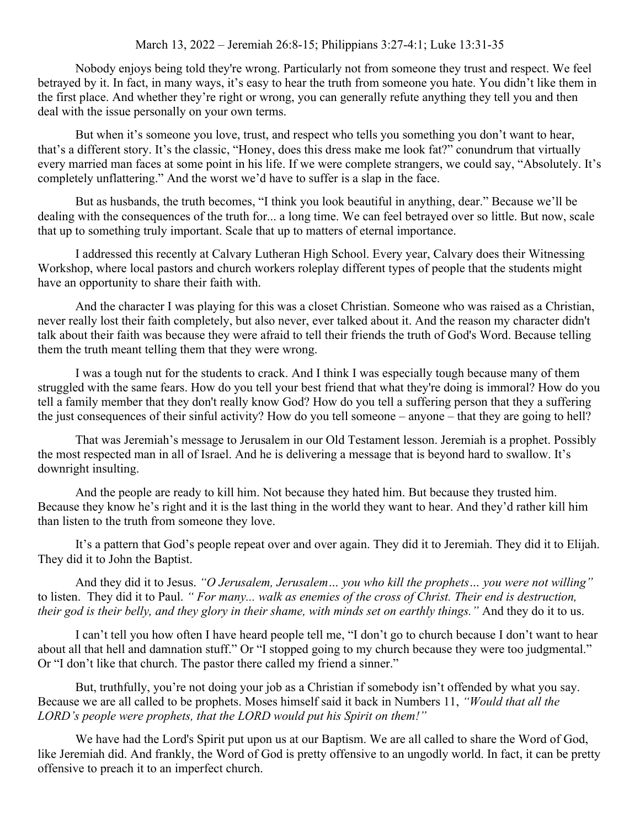## March 13, 2022 – Jeremiah 26:8-15; Philippians 3:27-4:1; Luke 13:31-35

Nobody enjoys being told they're wrong. Particularly not from someone they trust and respect. We feel betrayed by it. In fact, in many ways, it's easy to hear the truth from someone you hate. You didn't like them in the first place. And whether they're right or wrong, you can generally refute anything they tell you and then deal with the issue personally on your own terms.

But when it's someone you love, trust, and respect who tells you something you don't want to hear, that's a different story. It's the classic, "Honey, does this dress make me look fat?" conundrum that virtually every married man faces at some point in his life. If we were complete strangers, we could say, "Absolutely. It's completely unflattering." And the worst we'd have to suffer is a slap in the face.

But as husbands, the truth becomes, "I think you look beautiful in anything, dear." Because we'll be dealing with the consequences of the truth for... a long time. We can feel betrayed over so little. But now, scale that up to something truly important. Scale that up to matters of eternal importance.

I addressed this recently at Calvary Lutheran High School. Every year, Calvary does their Witnessing Workshop, where local pastors and church workers roleplay different types of people that the students might have an opportunity to share their faith with.

And the character I was playing for this was a closet Christian. Someone who was raised as a Christian, never really lost their faith completely, but also never, ever talked about it. And the reason my character didn't talk about their faith was because they were afraid to tell their friends the truth of God's Word. Because telling them the truth meant telling them that they were wrong.

I was a tough nut for the students to crack. And I think I was especially tough because many of them struggled with the same fears. How do you tell your best friend that what they're doing is immoral? How do you tell a family member that they don't really know God? How do you tell a suffering person that they a suffering the just consequences of their sinful activity? How do you tell someone – anyone – that they are going to hell?

That was Jeremiah's message to Jerusalem in our Old Testament lesson. Jeremiah is a prophet. Possibly the most respected man in all of Israel. And he is delivering a message that is beyond hard to swallow. It's downright insulting.

And the people are ready to kill him. Not because they hated him. But because they trusted him. Because they know he's right and it is the last thing in the world they want to hear. And they'd rather kill him than listen to the truth from someone they love.

It's a pattern that God's people repeat over and over again. They did it to Jeremiah. They did it to Elijah. They did it to John the Baptist.

And they did it to Jesus. *"O Jerusalem, Jerusalem… you who kill the prophets… you were not willing"*  to listen. They did it to Paul. *" For many... walk as enemies of the cross of Christ. Their end is destruction, their god is their belly, and they glory in their shame, with minds set on earthly things."* And they do it to us.

I can't tell you how often I have heard people tell me, "I don't go to church because I don't want to hear about all that hell and damnation stuff." Or "I stopped going to my church because they were too judgmental." Or "I don't like that church. The pastor there called my friend a sinner."

But, truthfully, you're not doing your job as a Christian if somebody isn't offended by what you say. Because we are all called to be prophets. Moses himself said it back in Numbers 11, *"Would that all the LORD's people were prophets, that the LORD would put his Spirit on them!"*

We have had the Lord's Spirit put upon us at our Baptism. We are all called to share the Word of God, like Jeremiah did. And frankly, the Word of God is pretty offensive to an ungodly world. In fact, it can be pretty offensive to preach it to an imperfect church.